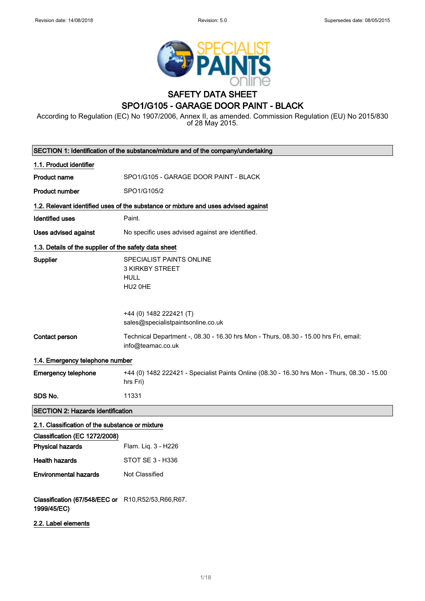

# SAFETY DATA SHEET SPO1/G105 - GARAGE DOOR PAINT - BLACK

According to Regulation (EC) No 1907/2006, Annex II, as amended. Commission Regulation (EU) No 2015/830 of 28 May 2015.

|                                                                     | SECTION 1: Identification of the substance/mixture and of the company/undertaking                         |
|---------------------------------------------------------------------|-----------------------------------------------------------------------------------------------------------|
| 1.1. Product identifier                                             |                                                                                                           |
| <b>Product name</b>                                                 | SPO1/G105 - GARAGE DOOR PAINT - BLACK                                                                     |
| <b>Product number</b>                                               | SPO1/G105/2                                                                                               |
|                                                                     | 1.2. Relevant identified uses of the substance or mixture and uses advised against                        |
| <b>Identified uses</b>                                              | Paint.                                                                                                    |
| Uses advised against                                                | No specific uses advised against are identified.                                                          |
| 1.3. Details of the supplier of the safety data sheet               |                                                                                                           |
| Supplier                                                            | SPECIALIST PAINTS ONLINE<br>3 KIRKBY STREET<br><b>HULL</b><br>HU2 OHE                                     |
|                                                                     | +44 (0) 1482 222421 (T)<br>sales@specialistpaintsonline.co.uk                                             |
| Contact person                                                      | Technical Department -, 08.30 - 16.30 hrs Mon - Thurs, 08.30 - 15.00 hrs Fri, email:<br>info@teamac.co.uk |
| 1.4. Emergency telephone number                                     |                                                                                                           |
| <b>Emergency telephone</b>                                          | +44 (0) 1482 222421 - Specialist Paints Online (08.30 - 16.30 hrs Mon - Thurs, 08.30 - 15.00<br>hrs Fri)  |
| SDS No.                                                             | 11331                                                                                                     |
| <b>SECTION 2: Hazards identification</b>                            |                                                                                                           |
| 2.1. Classification of the substance or mixture                     |                                                                                                           |
| Classification (EC 1272/2008)                                       |                                                                                                           |
| <b>Physical hazards</b>                                             | Flam. Liq. 3 - H226                                                                                       |
| <b>Health hazards</b>                                               | STOT SE 3 - H336                                                                                          |
| <b>Environmental hazards</b>                                        | Not Classified                                                                                            |
| Classification (67/548/EEC or R10, R52/53, R66, R67.<br>1999/45/EC) |                                                                                                           |
| 2.2. Label elements                                                 |                                                                                                           |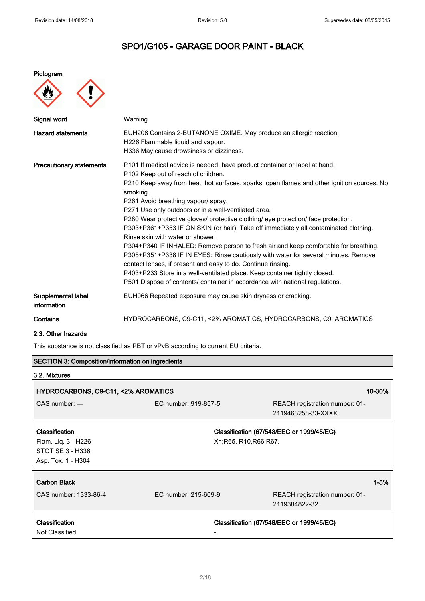## Pictogram



| Signal word                       | Warning                                                                                                                                                                                                                                                                                                                                                                                                                                                                                                                                                                                                                                                                                                                                                                                                                                                                                                                                                  |
|-----------------------------------|----------------------------------------------------------------------------------------------------------------------------------------------------------------------------------------------------------------------------------------------------------------------------------------------------------------------------------------------------------------------------------------------------------------------------------------------------------------------------------------------------------------------------------------------------------------------------------------------------------------------------------------------------------------------------------------------------------------------------------------------------------------------------------------------------------------------------------------------------------------------------------------------------------------------------------------------------------|
| <b>Hazard statements</b>          | EUH208 Contains 2-BUTANONE OXIME. May produce an allergic reaction.<br>H226 Flammable liquid and vapour.<br>H336 May cause drowsiness or dizziness.                                                                                                                                                                                                                                                                                                                                                                                                                                                                                                                                                                                                                                                                                                                                                                                                      |
| <b>Precautionary statements</b>   | P101 If medical advice is needed, have product container or label at hand.<br>P102 Keep out of reach of children.<br>P210 Keep away from heat, hot surfaces, sparks, open flames and other ignition sources. No<br>smoking.<br>P261 Avoid breathing vapour/ spray.<br>P271 Use only outdoors or in a well-ventilated area.<br>P280 Wear protective gloves/ protective clothing/ eye protection/ face protection.<br>P303+P361+P353 IF ON SKIN (or hair): Take off immediately all contaminated clothing.<br>Rinse skin with water or shower.<br>P304+P340 IF INHALED: Remove person to fresh air and keep comfortable for breathing.<br>P305+P351+P338 IF IN EYES: Rinse cautiously with water for several minutes. Remove<br>contact lenses, if present and easy to do. Continue rinsing.<br>P403+P233 Store in a well-ventilated place. Keep container tightly closed.<br>P501 Dispose of contents/ container in accordance with national regulations. |
| Supplemental label<br>information | EUH066 Repeated exposure may cause skin dryness or cracking.                                                                                                                                                                                                                                                                                                                                                                                                                                                                                                                                                                                                                                                                                                                                                                                                                                                                                             |
| Contains                          | HYDROCARBONS, C9-C11, <2% AROMATICS, HYDROCARBONS, C9, AROMATICS                                                                                                                                                                                                                                                                                                                                                                                                                                                                                                                                                                                                                                                                                                                                                                                                                                                                                         |

## 2.3. Other hazards

This substance is not classified as PBT or vPvB according to current EU criteria.

| <b>SECTION 3: Composition/information on ingredients</b> |                      |                                                      |  |  |
|----------------------------------------------------------|----------------------|------------------------------------------------------|--|--|
| 3.2. Mixtures                                            |                      |                                                      |  |  |
| HYDROCARBONS, C9-C11, <2% AROMATICS                      |                      | 10-30%                                               |  |  |
| $CAS$ number: $-$                                        | EC number: 919-857-5 | REACH registration number: 01-<br>2119463258-33-XXXX |  |  |
| Classification                                           |                      | Classification (67/548/EEC or 1999/45/EC)            |  |  |
| Flam. Liq. 3 - H226                                      |                      | Xn; R65. R10, R66, R67.                              |  |  |
| STOT SE 3 - H336                                         |                      |                                                      |  |  |
| Asp. Tox. 1 - H304                                       |                      |                                                      |  |  |
| <b>Carbon Black</b>                                      |                      | $1 - 5%$                                             |  |  |
| CAS number: 1333-86-4                                    | EC number: 215-609-9 | REACH registration number: 01-                       |  |  |
|                                                          |                      | 2119384822-32                                        |  |  |
| <b>Classification</b><br>Not Classified                  |                      | Classification (67/548/EEC or 1999/45/EC)            |  |  |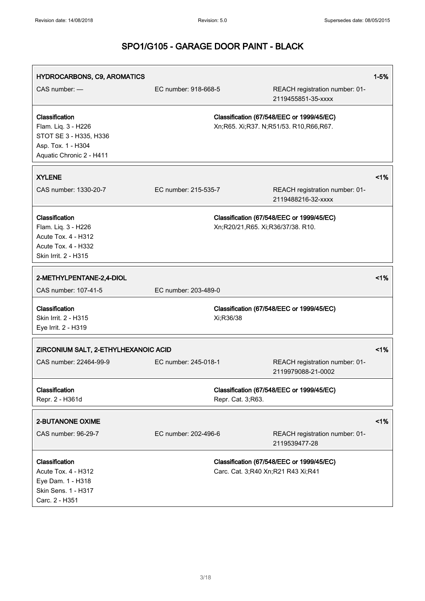| HYDROCARBONS, C9, AROMATICS                                                                                       |                      |                                    |                                                                                     | $1 - 5%$ |
|-------------------------------------------------------------------------------------------------------------------|----------------------|------------------------------------|-------------------------------------------------------------------------------------|----------|
| CAS number: -                                                                                                     | EC number: 918-668-5 |                                    | REACH registration number: 01-<br>2119455851-35-xxxx                                |          |
| Classification<br>Flam. Liq. 3 - H226<br>STOT SE 3 - H335, H336<br>Asp. Tox. 1 - H304<br>Aquatic Chronic 2 - H411 |                      |                                    | Classification (67/548/EEC or 1999/45/EC)<br>Xn;R65. Xi;R37. N;R51/53. R10,R66,R67. |          |
| <b>XYLENE</b>                                                                                                     |                      |                                    |                                                                                     | $1\%$    |
| CAS number: 1330-20-7                                                                                             | EC number: 215-535-7 |                                    | REACH registration number: 01-<br>2119488216-32-xxxx                                |          |
| Classification<br>Flam. Liq. 3 - H226<br>Acute Tox. 4 - H312<br>Acute Tox. 4 - H332<br>Skin Irrit. 2 - H315       |                      | Xn;R20/21,R65. Xi;R36/37/38. R10.  | Classification (67/548/EEC or 1999/45/EC)                                           |          |
| 2-METHYLPENTANE-2,4-DIOL<br>CAS number: 107-41-5                                                                  | EC number: 203-489-0 |                                    |                                                                                     | $1\%$    |
| Classification<br>Skin Irrit. 2 - H315<br>Eye Irrit. 2 - H319                                                     |                      | Xi;R36/38                          | Classification (67/548/EEC or 1999/45/EC)                                           |          |
| ZIRCONIUM SALT, 2-ETHYLHEXANOIC ACID                                                                              |                      |                                    |                                                                                     | 1%       |
| CAS number: 22464-99-9                                                                                            | EC number: 245-018-1 |                                    | REACH registration number: 01-<br>2119979088-21-0002                                |          |
| Classification<br>Repr. 2 - H361d                                                                                 |                      | Repr. Cat. 3;R63.                  | Classification (67/548/EEC or 1999/45/EC)                                           |          |
| 2-BUTANONE OXIME                                                                                                  |                      |                                    |                                                                                     | 1%       |
| CAS number: 96-29-7                                                                                               | EC number: 202-496-6 |                                    | REACH registration number: 01-<br>2119539477-28                                     |          |
| Classification<br>Acute Tox. 4 - H312<br>Eye Dam. 1 - H318<br>Skin Sens. 1 - H317<br>Carc. 2 - H351               |                      | Carc. Cat. 3;R40 Xn;R21 R43 Xi;R41 | Classification (67/548/EEC or 1999/45/EC)                                           |          |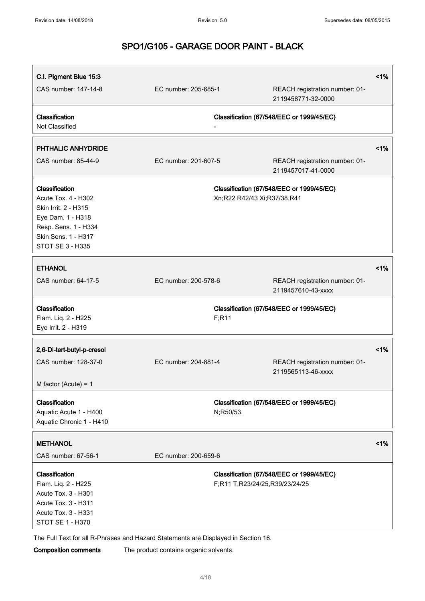| C.I. Pigment Blue 15:3<br>CAS number: 147-14-8                                                                                                        | EC number: 205-685-1 |                                | REACH registration number: 01-<br>2119458771-32-0000 | 1% |
|-------------------------------------------------------------------------------------------------------------------------------------------------------|----------------------|--------------------------------|------------------------------------------------------|----|
| Classification<br>Not Classified                                                                                                                      |                      |                                | Classification (67/548/EEC or 1999/45/EC)            |    |
| <b>PHTHALIC ANHYDRIDE</b>                                                                                                                             |                      |                                |                                                      | 1% |
| CAS number: 85-44-9                                                                                                                                   | EC number: 201-607-5 |                                | REACH registration number: 01-<br>2119457017-41-0000 |    |
| Classification<br>Acute Tox. 4 - H302<br>Skin Irrit. 2 - H315<br>Eye Dam. 1 - H318<br>Resp. Sens. 1 - H334<br>Skin Sens. 1 - H317<br>STOT SE 3 - H335 |                      | Xn;R22 R42/43 Xi;R37/38,R41    | Classification (67/548/EEC or 1999/45/EC)            |    |
| <b>ETHANOL</b><br>CAS number: 64-17-5                                                                                                                 | EC number: 200-578-6 |                                | REACH registration number: 01-<br>2119457610-43-xxxx | 1% |
| Classification<br>Flam. Liq. 2 - H225<br>Eye Irrit. 2 - H319                                                                                          |                      | F; R11                         | Classification (67/548/EEC or 1999/45/EC)            |    |
| 2,6-Di-tert-butyl-p-cresol<br>CAS number: 128-37-0<br>M factor (Acute) = $1$                                                                          | EC number: 204-881-4 |                                | REACH registration number: 01-<br>2119565113-46-xxxx | 1% |
| Classification<br>Aquatic Acute 1 - H400<br>Aquatic Chronic 1 - H410                                                                                  |                      | N;R50/53.                      | Classification (67/548/EEC or 1999/45/EC)            |    |
| <b>METHANOL</b><br>CAS number: 67-56-1                                                                                                                | EC number: 200-659-6 |                                |                                                      | 1% |
| Classification<br>Flam. Liq. 2 - H225<br>Acute Tox. 3 - H301<br>Acute Tox. 3 - H311<br>Acute Tox. 3 - H331<br>STOT SE 1 - H370                        |                      | F;R11 T;R23/24/25,R39/23/24/25 | Classification (67/548/EEC or 1999/45/EC)            |    |

The Full Text for all R-Phrases and Hazard Statements are Displayed in Section 16.

Composition comments The product contains organic solvents.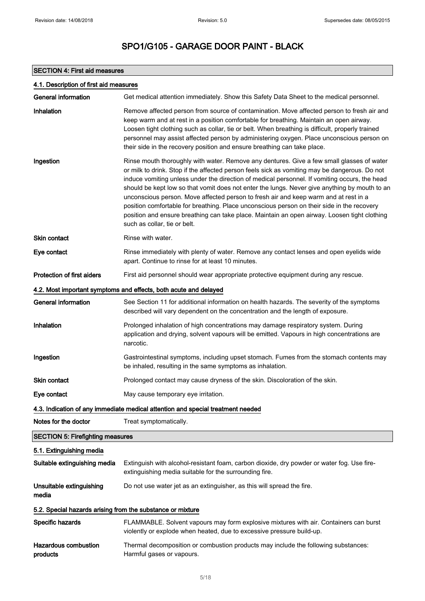# SECTION 4: First aid measures

| 4.1. Description of first aid measures                     |                                                                                                                                                                                                                                                                                                                                                                                                                                                                                                                                                                                                                                                                                                                    |  |  |
|------------------------------------------------------------|--------------------------------------------------------------------------------------------------------------------------------------------------------------------------------------------------------------------------------------------------------------------------------------------------------------------------------------------------------------------------------------------------------------------------------------------------------------------------------------------------------------------------------------------------------------------------------------------------------------------------------------------------------------------------------------------------------------------|--|--|
| General information                                        | Get medical attention immediately. Show this Safety Data Sheet to the medical personnel.                                                                                                                                                                                                                                                                                                                                                                                                                                                                                                                                                                                                                           |  |  |
| Inhalation                                                 | Remove affected person from source of contamination. Move affected person to fresh air and<br>keep warm and at rest in a position comfortable for breathing. Maintain an open airway.<br>Loosen tight clothing such as collar, tie or belt. When breathing is difficult, properly trained<br>personnel may assist affected person by administering oxygen. Place unconscious person on<br>their side in the recovery position and ensure breathing can take place.                                                                                                                                                                                                                                                 |  |  |
| Ingestion                                                  | Rinse mouth thoroughly with water. Remove any dentures. Give a few small glasses of water<br>or milk to drink. Stop if the affected person feels sick as vomiting may be dangerous. Do not<br>induce vomiting unless under the direction of medical personnel. If vomiting occurs, the head<br>should be kept low so that vomit does not enter the lungs. Never give anything by mouth to an<br>unconscious person. Move affected person to fresh air and keep warm and at rest in a<br>position comfortable for breathing. Place unconscious person on their side in the recovery<br>position and ensure breathing can take place. Maintain an open airway. Loosen tight clothing<br>such as collar, tie or belt. |  |  |
| Skin contact                                               | Rinse with water.                                                                                                                                                                                                                                                                                                                                                                                                                                                                                                                                                                                                                                                                                                  |  |  |
| Eye contact                                                | Rinse immediately with plenty of water. Remove any contact lenses and open eyelids wide<br>apart. Continue to rinse for at least 10 minutes.                                                                                                                                                                                                                                                                                                                                                                                                                                                                                                                                                                       |  |  |
| <b>Protection of first aiders</b>                          | First aid personnel should wear appropriate protective equipment during any rescue.                                                                                                                                                                                                                                                                                                                                                                                                                                                                                                                                                                                                                                |  |  |
|                                                            | 4.2. Most important symptoms and effects, both acute and delayed                                                                                                                                                                                                                                                                                                                                                                                                                                                                                                                                                                                                                                                   |  |  |
| <b>General information</b>                                 | See Section 11 for additional information on health hazards. The severity of the symptoms<br>described will vary dependent on the concentration and the length of exposure.                                                                                                                                                                                                                                                                                                                                                                                                                                                                                                                                        |  |  |
| Inhalation                                                 | Prolonged inhalation of high concentrations may damage respiratory system. During<br>application and drying, solvent vapours will be emitted. Vapours in high concentrations are<br>narcotic.                                                                                                                                                                                                                                                                                                                                                                                                                                                                                                                      |  |  |
| Ingestion                                                  | Gastrointestinal symptoms, including upset stomach. Fumes from the stomach contents may<br>be inhaled, resulting in the same symptoms as inhalation.                                                                                                                                                                                                                                                                                                                                                                                                                                                                                                                                                               |  |  |
| <b>Skin contact</b>                                        | Prolonged contact may cause dryness of the skin. Discoloration of the skin.                                                                                                                                                                                                                                                                                                                                                                                                                                                                                                                                                                                                                                        |  |  |
| Eye contact                                                | May cause temporary eye irritation.                                                                                                                                                                                                                                                                                                                                                                                                                                                                                                                                                                                                                                                                                |  |  |
|                                                            | 4.3. Indication of any immediate medical attention and special treatment needed                                                                                                                                                                                                                                                                                                                                                                                                                                                                                                                                                                                                                                    |  |  |
| Notes for the doctor                                       | Treat symptomatically.                                                                                                                                                                                                                                                                                                                                                                                                                                                                                                                                                                                                                                                                                             |  |  |
| <b>SECTION 5: Firefighting measures</b>                    |                                                                                                                                                                                                                                                                                                                                                                                                                                                                                                                                                                                                                                                                                                                    |  |  |
| 5.1. Extinguishing media                                   |                                                                                                                                                                                                                                                                                                                                                                                                                                                                                                                                                                                                                                                                                                                    |  |  |
| Suitable extinguishing media                               | Extinguish with alcohol-resistant foam, carbon dioxide, dry powder or water fog. Use fire-<br>extinguishing media suitable for the surrounding fire.                                                                                                                                                                                                                                                                                                                                                                                                                                                                                                                                                               |  |  |
| Unsuitable extinguishing<br>media                          | Do not use water jet as an extinguisher, as this will spread the fire.                                                                                                                                                                                                                                                                                                                                                                                                                                                                                                                                                                                                                                             |  |  |
| 5.2. Special hazards arising from the substance or mixture |                                                                                                                                                                                                                                                                                                                                                                                                                                                                                                                                                                                                                                                                                                                    |  |  |
| Specific hazards                                           | FLAMMABLE. Solvent vapours may form explosive mixtures with air. Containers can burst<br>violently or explode when heated, due to excessive pressure build-up.                                                                                                                                                                                                                                                                                                                                                                                                                                                                                                                                                     |  |  |
| <b>Hazardous combustion</b><br>products                    | Thermal decomposition or combustion products may include the following substances:<br>Harmful gases or vapours.                                                                                                                                                                                                                                                                                                                                                                                                                                                                                                                                                                                                    |  |  |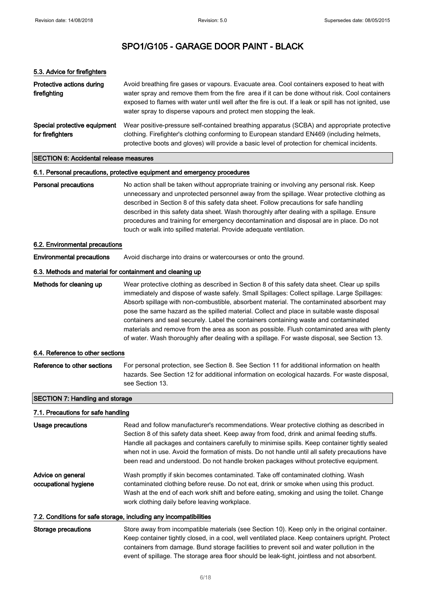| 5.3. Advice for firefighters                              |                                                                                                                                                                                                                                                                                                                                                                                                                                                                                                                                                                                                                                                                                |  |  |
|-----------------------------------------------------------|--------------------------------------------------------------------------------------------------------------------------------------------------------------------------------------------------------------------------------------------------------------------------------------------------------------------------------------------------------------------------------------------------------------------------------------------------------------------------------------------------------------------------------------------------------------------------------------------------------------------------------------------------------------------------------|--|--|
| Protective actions during<br>firefighting                 | Avoid breathing fire gases or vapours. Evacuate area. Cool containers exposed to heat with<br>water spray and remove them from the fire area if it can be done without risk. Cool containers<br>exposed to flames with water until well after the fire is out. If a leak or spill has not ignited, use<br>water spray to disperse vapours and protect men stopping the leak.                                                                                                                                                                                                                                                                                                   |  |  |
| Special protective equipment<br>for firefighters          | Wear positive-pressure self-contained breathing apparatus (SCBA) and appropriate protective<br>clothing. Firefighter's clothing conforming to European standard EN469 (including helmets,<br>protective boots and gloves) will provide a basic level of protection for chemical incidents.                                                                                                                                                                                                                                                                                                                                                                                     |  |  |
| <b>SECTION 6: Accidental release measures</b>             |                                                                                                                                                                                                                                                                                                                                                                                                                                                                                                                                                                                                                                                                                |  |  |
|                                                           | 6.1. Personal precautions, protective equipment and emergency procedures                                                                                                                                                                                                                                                                                                                                                                                                                                                                                                                                                                                                       |  |  |
| <b>Personal precautions</b>                               | No action shall be taken without appropriate training or involving any personal risk. Keep<br>unnecessary and unprotected personnel away from the spillage. Wear protective clothing as<br>described in Section 8 of this safety data sheet. Follow precautions for safe handling<br>described in this safety data sheet. Wash thoroughly after dealing with a spillage. Ensure<br>procedures and training for emergency decontamination and disposal are in place. Do not<br>touch or walk into spilled material. Provide adequate ventilation.                                                                                                                               |  |  |
| 6.2. Environmental precautions                            |                                                                                                                                                                                                                                                                                                                                                                                                                                                                                                                                                                                                                                                                                |  |  |
| <b>Environmental precautions</b>                          | Avoid discharge into drains or watercourses or onto the ground.                                                                                                                                                                                                                                                                                                                                                                                                                                                                                                                                                                                                                |  |  |
| 6.3. Methods and material for containment and cleaning up |                                                                                                                                                                                                                                                                                                                                                                                                                                                                                                                                                                                                                                                                                |  |  |
| Methods for cleaning up                                   | Wear protective clothing as described in Section 8 of this safety data sheet. Clear up spills<br>immediately and dispose of waste safely. Small Spillages: Collect spillage. Large Spillages:<br>Absorb spillage with non-combustible, absorbent material. The contaminated absorbent may<br>pose the same hazard as the spilled material. Collect and place in suitable waste disposal<br>containers and seal securely. Label the containers containing waste and contaminated<br>materials and remove from the area as soon as possible. Flush contaminated area with plenty<br>of water. Wash thoroughly after dealing with a spillage. For waste disposal, see Section 13. |  |  |
| 6.4. Reference to other sections                          |                                                                                                                                                                                                                                                                                                                                                                                                                                                                                                                                                                                                                                                                                |  |  |
| Reference to other sections                               | For personal protection, see Section 8. See Section 11 for additional information on health<br>hazards. See Section 12 for additional information on ecological hazards. For waste disposal,<br>see Section 13.                                                                                                                                                                                                                                                                                                                                                                                                                                                                |  |  |
| <b>SECTION 7: Handling and storage</b>                    |                                                                                                                                                                                                                                                                                                                                                                                                                                                                                                                                                                                                                                                                                |  |  |
| 7.1. Precautions for safe handling                        |                                                                                                                                                                                                                                                                                                                                                                                                                                                                                                                                                                                                                                                                                |  |  |
| <b>Usage precautions</b>                                  | Read and follow manufacturer's recommendations. Wear protective clothing as described in<br>Section 8 of this safety data sheet. Keep away from food, drink and animal feeding stuffs.<br>Handle all packages and containers carefully to minimise spills. Keep container tightly sealed<br>when not in use. Avoid the formation of mists. Do not handle until all safety precautions have<br>been read and understood. Do not handle broken packages without protective equipment.                                                                                                                                                                                            |  |  |
| Advice on general<br>occupational hygiene                 | Wash promptly if skin becomes contaminated. Take off contaminated clothing. Wash<br>contaminated clothing before reuse. Do not eat, drink or smoke when using this product.<br>Wash at the end of each work shift and before eating, smoking and using the toilet. Change<br>work clothing daily before leaving workplace.                                                                                                                                                                                                                                                                                                                                                     |  |  |
|                                                           | 7.2. Conditions for safe storage, including any incompatibilities                                                                                                                                                                                                                                                                                                                                                                                                                                                                                                                                                                                                              |  |  |
| <b>Storage precautions</b>                                | Store away from incompatible materials (see Section 10). Keep only in the original container.                                                                                                                                                                                                                                                                                                                                                                                                                                                                                                                                                                                  |  |  |

Keep container tightly closed, in a cool, well ventilated place. Keep containers upright. Protect containers from damage. Bund storage facilities to prevent soil and water pollution in the event of spillage. The storage area floor should be leak-tight, jointless and not absorbent.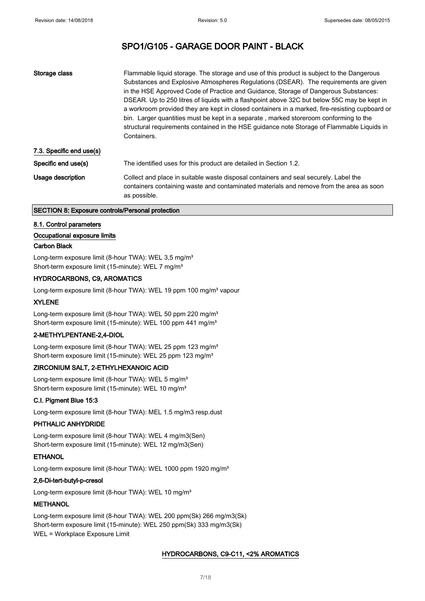| Storage class            | Flammable liquid storage. The storage and use of this product is subject to the Dangerous<br>Substances and Explosive Atmospheres Regulations (DSEAR). The requirements are given<br>in the HSE Approved Code of Practice and Guidance, Storage of Dangerous Substances:<br>DSEAR. Up to 250 litres of liquids with a flashpoint above 32C but below 55C may be kept in<br>a workroom provided they are kept in closed containers in a marked, fire-resisting cupboard or<br>bin. Larger quantities must be kept in a separate, marked storeroom conforming to the<br>structural requirements contained in the HSE guidance note Storage of Flammable Liquids in<br>Containers. |
|--------------------------|---------------------------------------------------------------------------------------------------------------------------------------------------------------------------------------------------------------------------------------------------------------------------------------------------------------------------------------------------------------------------------------------------------------------------------------------------------------------------------------------------------------------------------------------------------------------------------------------------------------------------------------------------------------------------------|
| 7.3. Specific end use(s) |                                                                                                                                                                                                                                                                                                                                                                                                                                                                                                                                                                                                                                                                                 |
| Specific end use(s)      | The identified uses for this product are detailed in Section 1.2.                                                                                                                                                                                                                                                                                                                                                                                                                                                                                                                                                                                                               |
| Usage description        | Collect and place in suitable waste disposal containers and seal securely. Label the<br>containers containing waste and contaminated materials and remove from the area as soon<br>as possible.                                                                                                                                                                                                                                                                                                                                                                                                                                                                                 |

#### SECTION 8: Exposure controls/Personal protection

#### 8.1. Control parameters

## Occupational exposure limits

#### Carbon Black

Long-term exposure limit (8-hour TWA): WEL 3,5 mg/m<sup>3</sup> Short-term exposure limit (15-minute): WEL 7 mg/m<sup>3</sup>

## HYDROCARBONS, C9, AROMATICS

Long-term exposure limit (8-hour TWA): WEL 19 ppm 100 mg/m<sup>3</sup> vapour

#### XYLENE

Long-term exposure limit (8-hour TWA): WEL 50 ppm 220 mg/m<sup>3</sup> Short-term exposure limit (15-minute): WEL 100 ppm 441 mg/m<sup>3</sup>

## 2-METHYLPENTANE-2,4-DIOL

Long-term exposure limit (8-hour TWA): WEL 25 ppm 123 mg/m<sup>3</sup> Short-term exposure limit (15-minute): WEL 25 ppm 123 mg/m<sup>3</sup>

## ZIRCONIUM SALT, 2-ETHYLHEXANOIC ACID

Long-term exposure limit (8-hour TWA): WEL 5 mg/m<sup>3</sup> Short-term exposure limit (15-minute): WEL 10 mg/m<sup>3</sup>

## C.I. Pigment Blue 15:3

Long-term exposure limit (8-hour TWA): MEL 1.5 mg/m3 resp.dust

#### PHTHALIC ANHYDRIDE

Long-term exposure limit (8-hour TWA): WEL 4 mg/m3(Sen) Short-term exposure limit (15-minute): WEL 12 mg/m3(Sen)

# ETHANOL

Long-term exposure limit (8-hour TWA): WEL 1000 ppm 1920 mg/m<sup>3</sup>

#### 2,6-Di-tert-butyl-p-cresol

Long-term exposure limit (8-hour TWA): WEL 10 mg/m<sup>3</sup>

## **METHANOL**

Long-term exposure limit (8-hour TWA): WEL 200 ppm(Sk) 266 mg/m3(Sk) Short-term exposure limit (15-minute): WEL 250 ppm(Sk) 333 mg/m3(Sk) WEL = Workplace Exposure Limit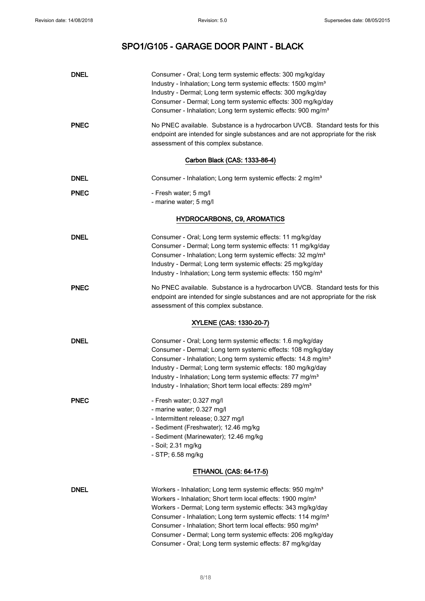| <b>DNEL</b> | Consumer - Oral; Long term systemic effects: 300 mg/kg/day<br>Industry - Inhalation; Long term systemic effects: 1500 mg/m <sup>3</sup><br>Industry - Dermal; Long term systemic effects: 300 mg/kg/day<br>Consumer - Dermal; Long term systemic effects: 300 mg/kg/day<br>Consumer - Inhalation; Long term systemic effects: 900 mg/m <sup>3</sup>                                                                                                                                                 |
|-------------|-----------------------------------------------------------------------------------------------------------------------------------------------------------------------------------------------------------------------------------------------------------------------------------------------------------------------------------------------------------------------------------------------------------------------------------------------------------------------------------------------------|
| <b>PNEC</b> | No PNEC available. Substance is a hydrocarbon UVCB. Standard tests for this<br>endpoint are intended for single substances and are not appropriate for the risk<br>assessment of this complex substance.                                                                                                                                                                                                                                                                                            |
|             | Carbon Black (CAS: 1333-86-4)                                                                                                                                                                                                                                                                                                                                                                                                                                                                       |
| <b>DNEL</b> | Consumer - Inhalation; Long term systemic effects: 2 mg/m <sup>3</sup>                                                                                                                                                                                                                                                                                                                                                                                                                              |
| <b>PNEC</b> | - Fresh water; 5 mg/l<br>- marine water; 5 mg/l                                                                                                                                                                                                                                                                                                                                                                                                                                                     |
|             | <b>HYDROCARBONS, C9, AROMATICS</b>                                                                                                                                                                                                                                                                                                                                                                                                                                                                  |
| <b>DNEL</b> | Consumer - Oral; Long term systemic effects: 11 mg/kg/day<br>Consumer - Dermal; Long term systemic effects: 11 mg/kg/day<br>Consumer - Inhalation; Long term systemic effects: 32 mg/m <sup>3</sup><br>Industry - Dermal; Long term systemic effects: 25 mg/kg/day<br>Industry - Inhalation; Long term systemic effects: 150 mg/m <sup>3</sup>                                                                                                                                                      |
| <b>PNEC</b> | No PNEC available. Substance is a hydrocarbon UVCB. Standard tests for this<br>endpoint are intended for single substances and are not appropriate for the risk<br>assessment of this complex substance.                                                                                                                                                                                                                                                                                            |
|             | XYLENE (CAS: 1330-20-7)                                                                                                                                                                                                                                                                                                                                                                                                                                                                             |
| <b>DNEL</b> | Consumer - Oral; Long term systemic effects: 1.6 mg/kg/day<br>Consumer - Dermal; Long term systemic effects: 108 mg/kg/day<br>Consumer - Inhalation; Long term systemic effects: 14.8 mg/m <sup>3</sup><br>Industry - Dermal; Long term systemic effects: 180 mg/kg/day<br>Industry - Inhalation; Long term systemic effects: 77 mg/m <sup>3</sup><br>Industry - Inhalation; Short term local effects: 289 mg/m <sup>3</sup>                                                                        |
| <b>PNEC</b> | - Fresh water; 0.327 mg/l<br>- marine water; 0.327 mg/l<br>- Intermittent release; 0.327 mg/l<br>- Sediment (Freshwater); 12.46 mg/kg<br>- Sediment (Marinewater); 12.46 mg/kg<br>- Soil; 2.31 mg/kg<br>- STP; 6.58 mg/kg<br><b>ETHANOL (CAS: 64-17-5)</b>                                                                                                                                                                                                                                          |
|             |                                                                                                                                                                                                                                                                                                                                                                                                                                                                                                     |
| <b>DNEL</b> | Workers - Inhalation; Long term systemic effects: 950 mg/m <sup>3</sup><br>Workers - Inhalation; Short term local effects: 1900 mg/m <sup>3</sup><br>Workers - Dermal; Long term systemic effects: 343 mg/kg/day<br>Consumer - Inhalation; Long term systemic effects: 114 mg/m <sup>3</sup><br>Consumer - Inhalation; Short term local effects: 950 mg/m <sup>3</sup><br>Consumer - Dermal; Long term systemic effects: 206 mg/kg/day<br>Consumer - Oral; Long term systemic effects: 87 mg/kg/day |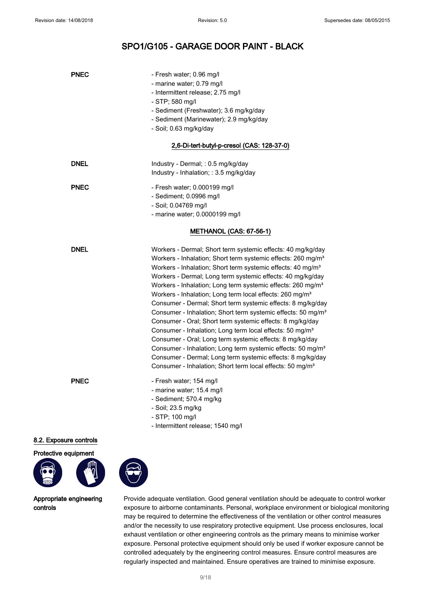| PNEC        | - Fresh water; 0.96 mg/l<br>- marine water; 0.79 mg/l<br>- Intermittent release; 2.75 mg/l<br>- STP; 580 mg/l<br>- Sediment (Freshwater); 3.6 mg/kg/day<br>- Sediment (Marinewater); 2.9 mg/kg/day<br>- Soil; 0.63 mg/kg/day                                                                                                                                                                                                                                                                                                                                                                                                                                                                                                                                                                                                                                                                                                                                                                      |
|-------------|---------------------------------------------------------------------------------------------------------------------------------------------------------------------------------------------------------------------------------------------------------------------------------------------------------------------------------------------------------------------------------------------------------------------------------------------------------------------------------------------------------------------------------------------------------------------------------------------------------------------------------------------------------------------------------------------------------------------------------------------------------------------------------------------------------------------------------------------------------------------------------------------------------------------------------------------------------------------------------------------------|
|             | 2,6-Di-tert-butyl-p-cresol (CAS: 128-37-0)                                                                                                                                                                                                                                                                                                                                                                                                                                                                                                                                                                                                                                                                                                                                                                                                                                                                                                                                                        |
| <b>DNEL</b> | Industry - Dermal; : 0.5 mg/kg/day<br>Industry - Inhalation; : 3.5 mg/kg/day                                                                                                                                                                                                                                                                                                                                                                                                                                                                                                                                                                                                                                                                                                                                                                                                                                                                                                                      |
| <b>PNEC</b> | - Fresh water; 0.000199 mg/l<br>- Sediment; 0.0996 mg/l<br>- Soil; 0.04769 mg/l<br>- marine water; 0.0000199 mg/l                                                                                                                                                                                                                                                                                                                                                                                                                                                                                                                                                                                                                                                                                                                                                                                                                                                                                 |
|             | METHANOL (CAS: 67-56-1)                                                                                                                                                                                                                                                                                                                                                                                                                                                                                                                                                                                                                                                                                                                                                                                                                                                                                                                                                                           |
| DNEL        | Workers - Dermal; Short term systemic effects: 40 mg/kg/day<br>Workers - Inhalation; Short term systemic effects: 260 mg/m <sup>3</sup><br>Workers - Inhalation; Short term systemic effects: 40 mg/m <sup>3</sup><br>Workers - Dermal; Long term systemic effects: 40 mg/kg/day<br>Workers - Inhalation; Long term systemic effects: 260 mg/m <sup>3</sup><br>Workers - Inhalation; Long term local effects: 260 mg/m <sup>3</sup><br>Consumer - Dermal; Short term systemic effects: 8 mg/kg/day<br>Consumer - Inhalation; Short term systemic effects: 50 mg/m <sup>3</sup><br>Consumer - Oral; Short term systemic effects: 8 mg/kg/day<br>Consumer - Inhalation; Long term local effects: 50 mg/m <sup>3</sup><br>Consumer - Oral; Long term systemic effects: 8 mg/kg/day<br>Consumer - Inhalation; Long term systemic effects: 50 mg/m <sup>3</sup><br>Consumer - Dermal; Long term systemic effects: 8 mg/kg/day<br>Consumer - Inhalation; Short term local effects: 50 mg/m <sup>3</sup> |
| <b>PNEC</b> | - Fresh water; 154 mg/l<br>- marine water; 15.4 mg/l<br>- Sediment; 570.4 mg/kg<br>- Soil; 23.5 mg/kg<br>- STP; 100 mg/l<br>- Intermittent release; 1540 mg/l                                                                                                                                                                                                                                                                                                                                                                                                                                                                                                                                                                                                                                                                                                                                                                                                                                     |

8.2. Exposure controls





Appropriate engineering controls

Provide adequate ventilation. Good general ventilation should be adequate to control worker exposure to airborne contaminants. Personal, workplace environment or biological monitoring may be required to determine the effectiveness of the ventilation or other control measures and/or the necessity to use respiratory protective equipment. Use process enclosures, local exhaust ventilation or other engineering controls as the primary means to minimise worker exposure. Personal protective equipment should only be used if worker exposure cannot be controlled adequately by the engineering control measures. Ensure control measures are regularly inspected and maintained. Ensure operatives are trained to minimise exposure.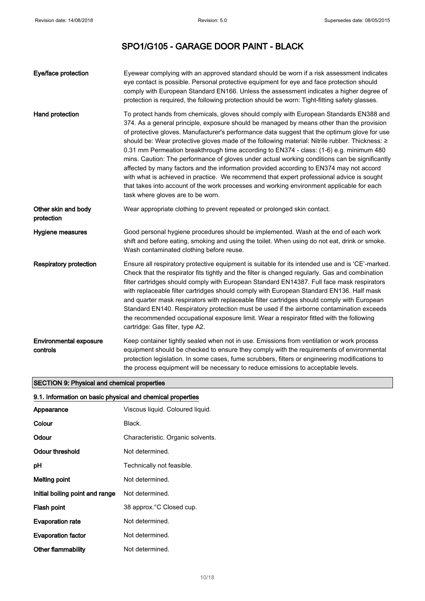| Eye/face protection                       | Eyewear complying with an approved standard should be worn if a risk assessment indicates<br>eye contact is possible. Personal protective equipment for eye and face protection should<br>comply with European Standard EN166. Unless the assessment indicates a higher degree of<br>protection is required, the following protection should be worn: Tight-fitting safety glasses.                                                                                                                                                                                                                                                                                                                                                                                                                                                                                                                          |
|-------------------------------------------|--------------------------------------------------------------------------------------------------------------------------------------------------------------------------------------------------------------------------------------------------------------------------------------------------------------------------------------------------------------------------------------------------------------------------------------------------------------------------------------------------------------------------------------------------------------------------------------------------------------------------------------------------------------------------------------------------------------------------------------------------------------------------------------------------------------------------------------------------------------------------------------------------------------|
| Hand protection                           | To protect hands from chemicals, gloves should comply with European Standards EN388 and<br>374. As a general principle, exposure should be managed by means other than the provision<br>of protective gloves. Manufacturer's performance data suggest that the optimum glove for use<br>should be: Wear protective gloves made of the following material: Nitrile rubber. Thickness: ≥<br>0.31 mm Permeation breakthrough time according to EN374 - class: (1-6) e.g. minimum 480<br>mins. Caution: The performance of gloves under actual working conditions can be significantly<br>affected by many factors and the information provided according to EN374 may not accord<br>with what is achieved in practice. We recommend that expert professional advice is sought<br>that takes into account of the work processes and working environment applicable for each<br>task where gloves are to be worn. |
| Other skin and body<br>protection         | Wear appropriate clothing to prevent repeated or prolonged skin contact.                                                                                                                                                                                                                                                                                                                                                                                                                                                                                                                                                                                                                                                                                                                                                                                                                                     |
| Hygiene measures                          | Good personal hygiene procedures should be implemented. Wash at the end of each work<br>shift and before eating, smoking and using the toilet. When using do not eat, drink or smoke.<br>Wash contaminated clothing before reuse.                                                                                                                                                                                                                                                                                                                                                                                                                                                                                                                                                                                                                                                                            |
| <b>Respiratory protection</b>             | Ensure all respiratory protective equipment is suitable for its intended use and is 'CE'-marked.<br>Check that the respirator fits tightly and the filter is changed regularly. Gas and combination<br>filter cartridges should comply with European Standard EN14387. Full face mask respirators<br>with replaceable filter cartridges should comply with European Standard EN136. Half mask<br>and quarter mask respirators with replaceable filter cartridges should comply with European<br>Standard EN140. Respiratory protection must be used if the airborne contamination exceeds<br>the recommended occupational exposure limit. Wear a respirator fitted with the following<br>cartridge: Gas filter, type A2.                                                                                                                                                                                     |
| <b>Environmental exposure</b><br>controls | Keep container tightly sealed when not in use. Emissions from ventilation or work process<br>equipment should be checked to ensure they comply with the requirements of environmental<br>protection legislation. In some cases, fume scrubbers, filters or engineering modifications to<br>the process equipment will be necessary to reduce emissions to acceptable levels.                                                                                                                                                                                                                                                                                                                                                                                                                                                                                                                                 |

# SECTION 9: Physical and chemical properties

# 9.1. Information on basic physical and chemical properties

| Appearance                      | Viscous liquid. Coloured liquid.  |
|---------------------------------|-----------------------------------|
| Colour                          | Black.                            |
| Odour                           | Characteristic. Organic solvents. |
| Odour threshold                 | Not determined.                   |
| рH                              | Technically not feasible.         |
| <b>Melting point</b>            | Not determined.                   |
| Initial boiling point and range | Not determined.                   |
| Flash point                     | 38 approx. °C Closed cup.         |
| <b>Evaporation rate</b>         | Not determined.                   |
| <b>Evaporation factor</b>       | Not determined.                   |
| Other flammability              | Not determined.                   |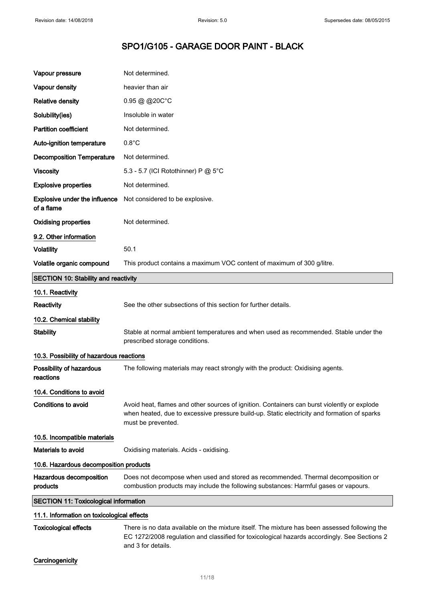| Vapour pressure                                    | Not determined.                                                                                                                                                                                                  |  |
|----------------------------------------------------|------------------------------------------------------------------------------------------------------------------------------------------------------------------------------------------------------------------|--|
| Vapour density                                     | heavier than air                                                                                                                                                                                                 |  |
| <b>Relative density</b>                            | $0.95 \ @ \ @ 20C^{\circ}C$                                                                                                                                                                                      |  |
| Solubility(ies)                                    | Insoluble in water                                                                                                                                                                                               |  |
| <b>Partition coefficient</b>                       | Not determined.                                                                                                                                                                                                  |  |
| Auto-ignition temperature                          | $0.8^{\circ}$ C                                                                                                                                                                                                  |  |
| <b>Decomposition Temperature</b>                   | Not determined.                                                                                                                                                                                                  |  |
| <b>Viscosity</b>                                   | 5.3 - 5.7 (ICI Rotothinner) P @ 5°C                                                                                                                                                                              |  |
| <b>Explosive properties</b>                        | Not determined.                                                                                                                                                                                                  |  |
| <b>Explosive under the influence</b><br>of a flame | Not considered to be explosive.                                                                                                                                                                                  |  |
| <b>Oxidising properties</b>                        | Not determined.                                                                                                                                                                                                  |  |
| 9.2. Other information                             |                                                                                                                                                                                                                  |  |
| <b>Volatility</b>                                  | 50.1                                                                                                                                                                                                             |  |
| Volatile organic compound                          | This product contains a maximum VOC content of maximum of 300 g/litre.                                                                                                                                           |  |
| <b>SECTION 10: Stability and reactivity</b>        |                                                                                                                                                                                                                  |  |
| 10.1. Reactivity                                   |                                                                                                                                                                                                                  |  |
| Reactivity                                         | See the other subsections of this section for further details.                                                                                                                                                   |  |
| 10.2. Chemical stability                           |                                                                                                                                                                                                                  |  |
| <b>Stability</b>                                   | Stable at normal ambient temperatures and when used as recommended. Stable under the<br>prescribed storage conditions.                                                                                           |  |
| 10.3. Possibility of hazardous reactions           |                                                                                                                                                                                                                  |  |
| Possibility of hazardous<br>reactions              | The following materials may react strongly with the product: Oxidising agents.                                                                                                                                   |  |
| 10.4. Conditions to avoid                          |                                                                                                                                                                                                                  |  |
| Conditions to avoid                                | Avoid heat, flames and other sources of ignition. Containers can burst violently or explode<br>when heated, due to excessive pressure build-up. Static electricity and formation of sparks<br>must be prevented. |  |
| 10.5. Incompatible materials                       |                                                                                                                                                                                                                  |  |
| <b>Materials to avoid</b>                          | Oxidising materials. Acids - oxidising.                                                                                                                                                                          |  |
| 10.6. Hazardous decomposition products             |                                                                                                                                                                                                                  |  |
| Hazardous decomposition<br>products                | Does not decompose when used and stored as recommended. Thermal decomposition or<br>combustion products may include the following substances: Harmful gases or vapours.                                          |  |
| <b>SECTION 11: Toxicological information</b>       |                                                                                                                                                                                                                  |  |
| 11.1. Information on toxicological effects         |                                                                                                                                                                                                                  |  |

Toxicological effects There is no data available on the mixture itself. The mixture has been assessed following the EC 1272/2008 regulation and classified for toxicological hazards accordingly. See Sections 2 and 3 for details.

# **Carcinogenicity**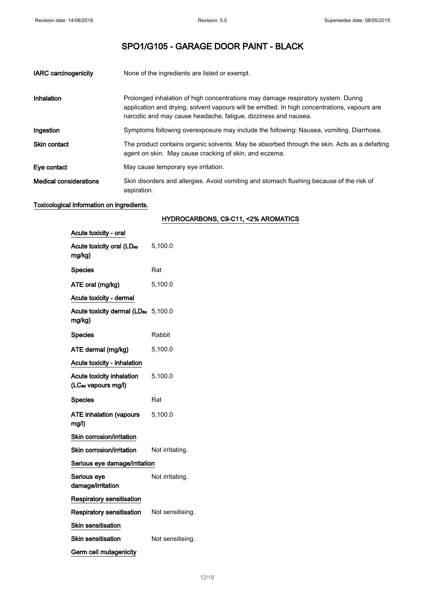| <b>IARC</b> carcinogenicity   | None of the ingredients are listed or exempt.                                                                                                                                                                                                        |
|-------------------------------|------------------------------------------------------------------------------------------------------------------------------------------------------------------------------------------------------------------------------------------------------|
| Inhalation                    | Prolonged inhalation of high concentrations may damage respiratory system. During<br>application and drying, solvent vapours will be emitted. In high concentrations, vapours are<br>narcotic and may cause headache, fatigue, dizziness and nausea. |
| Ingestion                     | Symptoms following overexposure may include the following: Nausea, vomiting. Diarrhoea.                                                                                                                                                              |
| <b>Skin contact</b>           | The product contains organic solvents. May be absorbed through the skin. Acts as a defatting<br>agent on skin. May cause cracking of skin, and eczema.                                                                                               |
| Eye contact                   | May cause temporary eye irritation.                                                                                                                                                                                                                  |
| <b>Medical considerations</b> | Skin disorders and allergies. Avoid vomiting and stomach flushing because of the risk of<br>aspiration.                                                                                                                                              |

# Toxicological information on ingredients.

| Acute toxicity - oral                                        |                  |
|--------------------------------------------------------------|------------------|
| Acute toxicity oral (LD <sub>50</sub><br>mg/kg)              | 5,100.0          |
| <b>Species</b>                                               | Rat              |
| ATE oral (mg/kg)                                             | 5,100.0          |
| Acute toxicity - dermal                                      |                  |
| Acute toxicity dermal (LD <sub>50</sub> 5,100.0<br>mg/kg)    |                  |
| <b>Species</b>                                               | Rabbit           |
| ATE dermal (mg/kg)                                           | 5,100.0          |
| Acute toxicity - inhalation                                  |                  |
| Acute toxicity inhalation<br>(LC <sub>50</sub> vapours mg/l) | 5,100.0          |
| <b>Species</b>                                               | Rat              |
| <b>ATE inhalation (vapours</b><br>mg/l)                      | 5,100.0          |
| Skin corrosion/irritation                                    |                  |
| Skin corrosion/irritation                                    | Not irritating.  |
| Serious eye damage/irritation                                |                  |
| Serious eye<br>damage/irritation                             | Not irritating.  |
| <b>Respiratory sensitisation</b>                             |                  |
| <b>Respiratory sensitisation</b>                             | Not sensitising. |
| Skin sensitisation                                           |                  |
| Skin sensitisation                                           | Not sensitising. |
| Germ cell mutagenicity                                       |                  |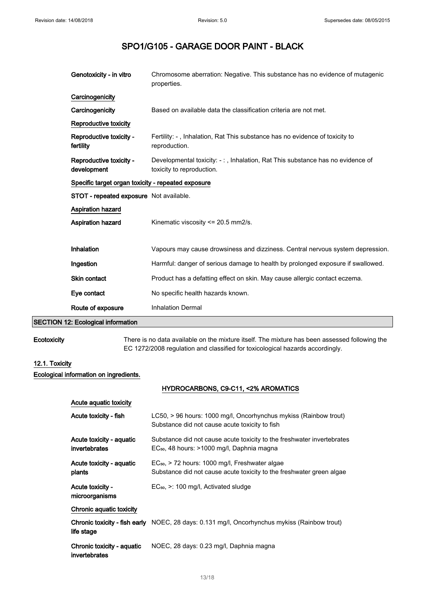| Genotoxicity - in vitro                            | Chromosome aberration: Negative. This substance has no evidence of mutagenic<br>properties.                |  |
|----------------------------------------------------|------------------------------------------------------------------------------------------------------------|--|
| Carcinogenicity                                    |                                                                                                            |  |
| Carcinogenicity                                    | Based on available data the classification criteria are not met.                                           |  |
| Reproductive toxicity                              |                                                                                                            |  |
| Reproductive toxicity -<br>fertility               | Fertility: -, Inhalation, Rat This substance has no evidence of toxicity to<br>reproduction.               |  |
| Reproductive toxicity -<br>development             | Developmental toxicity: -:, Inhalation, Rat This substance has no evidence of<br>toxicity to reproduction. |  |
| Specific target organ toxicity - repeated exposure |                                                                                                            |  |
| <b>STOT - repeated exposure</b> Not available.     |                                                                                                            |  |
| <b>Aspiration hazard</b>                           |                                                                                                            |  |
| <b>Aspiration hazard</b>                           | Kinematic viscosity <= 20.5 mm2/s.                                                                         |  |
|                                                    |                                                                                                            |  |
| Inhalation                                         | Vapours may cause drowsiness and dizziness. Central nervous system depression.                             |  |
| Ingestion                                          | Harmful: danger of serious damage to health by prolonged exposure if swallowed.                            |  |
| <b>Skin contact</b>                                | Product has a defatting effect on skin. May cause allergic contact eczema.                                 |  |
| Eye contact                                        | No specific health hazards known.                                                                          |  |
| Route of exposure                                  | <b>Inhalation Dermal</b>                                                                                   |  |

## SECTION 12: Ecological information

Ecotoxicity There is no data available on the mixture itself. The mixture has been assessed following the EC 1272/2008 regulation and classified for toxicological hazards accordingly.

# 12.1. Toxicity

Ecological information on ingredients.

| Acute aguatic toxicity                      |                                                                                                                                    |
|---------------------------------------------|------------------------------------------------------------------------------------------------------------------------------------|
| Acute toxicity - fish                       | LC50, > 96 hours: 1000 mg/l, Oncorhynchus mykiss (Rainbow trout)<br>Substance did not cause acute toxicity to fish                 |
| Acute toxicity - aquatic<br>invertebrates   | Substance did not cause acute toxicity to the freshwater invertebrates<br>EC <sub>50</sub> , 48 hours: >1000 mg/l, Daphnia magna   |
| Acute toxicity - aquatic<br>plants          | EC <sub>50</sub> , > 72 hours: 1000 mg/l, Freshwater algae<br>Substance did not cause acute toxicity to the freshwater green algae |
| Acute toxicity -<br>microorganisms          | $EC_{50}$ , $\geq$ : 100 mg/l, Activated sludge                                                                                    |
| Chronic aquatic toxicity                    |                                                                                                                                    |
| life stage                                  | <b>Chronic toxicity - fish early</b> NOEC, 28 days: 0.131 mg/l, Oncorhynchus mykiss (Rainbow trout)                                |
| Chronic toxicity - aquatic<br>invertebrates | NOEC, 28 days: 0.23 mg/l, Daphnia magna                                                                                            |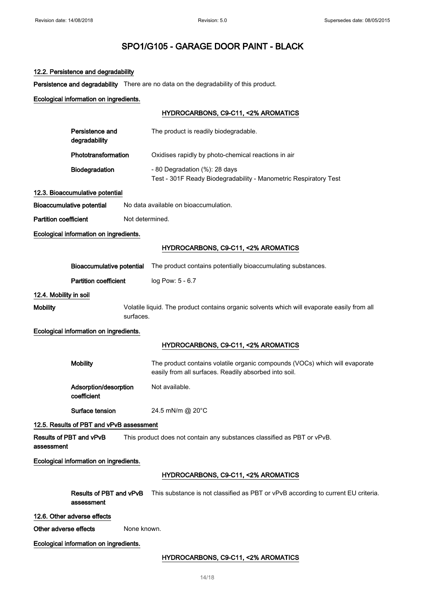#### 12.2. Persistence and degradability

Persistence and degradability There are no data on the degradability of this product.

# Ecological information on ingredients.

## HYDROCARBONS, C9-C11, <2% AROMATICS

| Persistence and<br>degradability | The product is readily biodegradable.                                                                  |
|----------------------------------|--------------------------------------------------------------------------------------------------------|
| Phototransformation              | Oxidises rapidly by photo-chemical reactions in air                                                    |
| <b>Biodegradation</b>            | $-80$ Degradation $(\%)$ : 28 days<br>Test - 301F Ready Biodegradability - Manometric Respiratory Test |

## 12.3. Bioaccumulative potential

Bioaccumulative potential No data available on bioaccumulation.

Partition coefficient Not determined.

#### Ecological information on ingredients.

## HYDROCARBONS, C9-C11, <2% AROMATICS

|                        | <b>Bioaccumulative potential</b>           | The product contains potentially bioaccumulating substances.                                                                         |
|------------------------|--------------------------------------------|--------------------------------------------------------------------------------------------------------------------------------------|
|                        | <b>Partition coefficient</b>               | log Pow: 5 - 6.7                                                                                                                     |
| 12.4. Mobility in soil |                                            |                                                                                                                                      |
| <b>Mobility</b>        | surfaces.                                  | Volatile liquid. The product contains organic solvents which will evaporate easily from all                                          |
|                        | Ecological information on ingredients.     |                                                                                                                                      |
|                        |                                            | HYDROCARBONS, C9-C11, <2% AROMATICS                                                                                                  |
|                        | <b>Mobility</b>                            | The product contains volatile organic compounds (VOCs) which will evaporate<br>easily from all surfaces. Readily absorbed into soil. |
|                        | Adsorption/desorption<br>coefficient       | Not available.                                                                                                                       |
|                        | Surface tension                            | 24.5 mN/m @ 20°C                                                                                                                     |
|                        | 12.5. Results of PBT and vPvB assessment   |                                                                                                                                      |
| assessment             | Results of PBT and vPvB                    | This product does not contain any substances classified as PBT or vPvB.                                                              |
|                        | Ecological information on ingredients.     |                                                                                                                                      |
|                        |                                            | HYDROCARBONS, C9-C11, <2% AROMATICS                                                                                                  |
|                        | Results of PBT and vPvB<br>assessment      | This substance is not classified as PBT or vPvB according to current EU criteria.                                                    |
| Other adverse effects  | 12.6. Other adverse effects<br>None known. |                                                                                                                                      |
|                        | Ecological information on ingredients.     |                                                                                                                                      |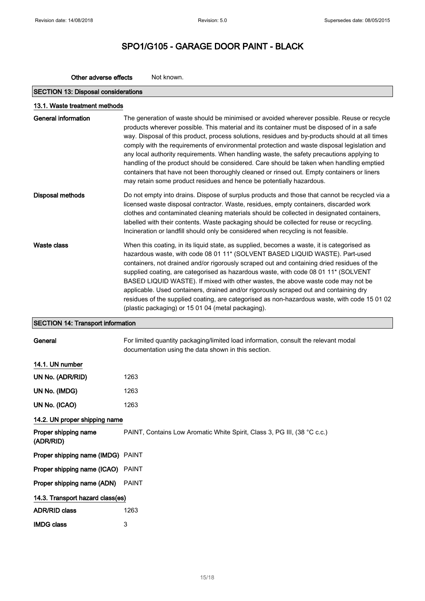# SPO1/G105 - GARAGE DOOR PAINT - BLACK

| <b>SECTION 13: Disposal considerations</b> |                                                                                                                                                                                                                                                                                                                                                                                                                                                                                                                                                                                                                                                                                                                                                         |
|--------------------------------------------|---------------------------------------------------------------------------------------------------------------------------------------------------------------------------------------------------------------------------------------------------------------------------------------------------------------------------------------------------------------------------------------------------------------------------------------------------------------------------------------------------------------------------------------------------------------------------------------------------------------------------------------------------------------------------------------------------------------------------------------------------------|
| 13.1. Waste treatment methods              |                                                                                                                                                                                                                                                                                                                                                                                                                                                                                                                                                                                                                                                                                                                                                         |
| <b>General information</b>                 | The generation of waste should be minimised or avoided wherever possible. Reuse or recycle<br>products wherever possible. This material and its container must be disposed of in a safe<br>way. Disposal of this product, process solutions, residues and by-products should at all times<br>comply with the requirements of environmental protection and waste disposal legislation and<br>any local authority requirements. When handling waste, the safety precautions applying to<br>handling of the product should be considered. Care should be taken when handling emptied<br>containers that have not been thoroughly cleaned or rinsed out. Empty containers or liners<br>may retain some product residues and hence be potentially hazardous. |
| Disposal methods                           | Do not empty into drains. Dispose of surplus products and those that cannot be recycled via a<br>licensed waste disposal contractor. Waste, residues, empty containers, discarded work<br>clothes and contaminated cleaning materials should be collected in designated containers,<br>labelled with their contents. Waste packaging should be collected for reuse or recycling.<br>Incineration or landfill should only be considered when recycling is not feasible.                                                                                                                                                                                                                                                                                  |
| <b>Waste class</b>                         | When this coating, in its liquid state, as supplied, becomes a waste, it is categorised as<br>hazardous waste, with code 08 01 11* (SOLVENT BASED LIQUID WASTE). Part-used<br>containers, not drained and/or rigorously scraped out and containing dried residues of the<br>supplied coating, are categorised as hazardous waste, with code 08 01 11* (SOLVENT<br>BASED LIQUID WASTE). If mixed with other wastes, the above waste code may not be<br>applicable. Used containers, drained and/or rigorously scraped out and containing dry<br>residues of the supplied coating, are categorised as non-hazardous waste, with code 15 01 02<br>(plastic packaging) or 15 01 04 (metal packaging).                                                       |
| <b>SECTION 14: Transport information</b>   |                                                                                                                                                                                                                                                                                                                                                                                                                                                                                                                                                                                                                                                                                                                                                         |
| General                                    | For limited quantity packaging/limited load information, consult the relevant modal                                                                                                                                                                                                                                                                                                                                                                                                                                                                                                                                                                                                                                                                     |

Other adverse effects Not known.

14.1. UN number

| UN No. (ADR/RID) | 1263 |
|------------------|------|
| UN No. (IMDG)    | 1263 |
| UN No. (ICAO)    | 1263 |

# 14.2. UN proper shipping name

Proper shipping name (ADR/RID) PAINT, Contains Low Aromatic White Spirit, Class 3, PG III, (38 °C c.c.) Proper shipping name (IMDG) PAINT Proper shipping name (ICAO) PAINT Proper shipping name (ADN) PAINT 14.3. Transport hazard class(es) ADR/RID class 1263 IMDG class 3

documentation using the data shown in this section.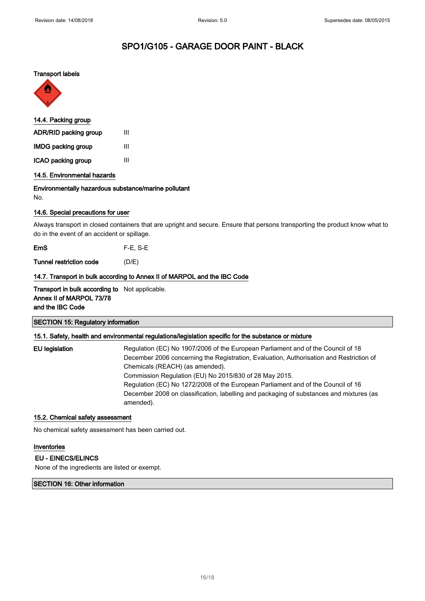#### Transport labels



| 14.4. Packing group |  |
|---------------------|--|
| Ш                   |  |
| Ш                   |  |
| Ш                   |  |
|                     |  |

14.5. Environmental hazards

#### Environmentally hazardous substance/marine pollutant

No.

## 14.6. Special precautions for user

Always transport in closed containers that are upright and secure. Ensure that persons transporting the product know what to do in the event of an accident or spillage.

EmS F-E, S-E

Tunnel restriction code (D/E)

## 14.7. Transport in bulk according to Annex II of MARPOL and the IBC Code

Transport in bulk according to Not applicable. Annex II of MARPOL 73/78 and the IBC Code

## SECTION 15: Regulatory information

## 15.1. Safety, health and environmental regulations/legislation specific for the substance or mixture

EU legislation Regulation (EC) No 1907/2006 of the European Parliament and of the Council of 18 December 2006 concerning the Registration, Evaluation, Authorisation and Restriction of Chemicals (REACH) (as amended). Commission Regulation (EU) No 2015/830 of 28 May 2015. Regulation (EC) No 1272/2008 of the European Parliament and of the Council of 16 December 2008 on classification, labelling and packaging of substances and mixtures (as amended).

## 15.2. Chemical safety assessment

No chemical safety assessment has been carried out.

#### Inventories

EU - EINECS/ELINCS

None of the ingredients are listed or exempt.

## SECTION 16: Other information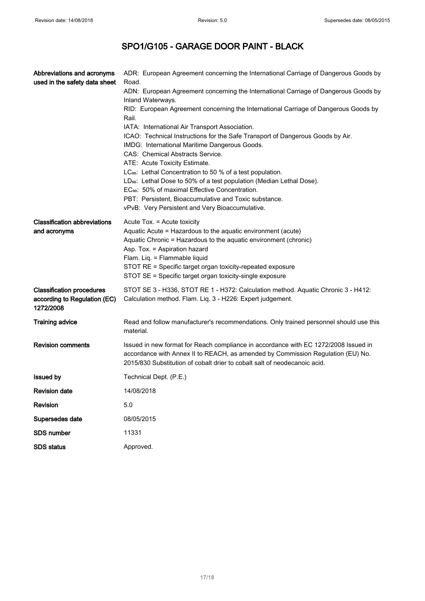| Abbreviations and acronyms<br>used in the safety data sheet                   | ADR: European Agreement concerning the International Carriage of Dangerous Goods by<br>Road.<br>ADN: European Agreement concerning the International Carriage of Dangerous Goods by<br>Inland Waterways.<br>RID: European Agreement concerning the International Carriage of Dangerous Goods by<br>Rail.<br>IATA: International Air Transport Association.<br>ICAO: Technical Instructions for the Safe Transport of Dangerous Goods by Air.<br>IMDG: International Maritime Dangerous Goods.<br>CAS: Chemical Abstracts Service.<br>ATE: Acute Toxicity Estimate.<br>LC <sub>50</sub> : Lethal Concentration to 50 % of a test population.<br>LD <sub>50</sub> : Lethal Dose to 50% of a test population (Median Lethal Dose).<br>EC <sub>50</sub> : 50% of maximal Effective Concentration.<br>PBT: Persistent, Bioaccumulative and Toxic substance.<br>vPvB: Very Persistent and Very Bioaccumulative. |
|-------------------------------------------------------------------------------|-----------------------------------------------------------------------------------------------------------------------------------------------------------------------------------------------------------------------------------------------------------------------------------------------------------------------------------------------------------------------------------------------------------------------------------------------------------------------------------------------------------------------------------------------------------------------------------------------------------------------------------------------------------------------------------------------------------------------------------------------------------------------------------------------------------------------------------------------------------------------------------------------------------|
| <b>Classification abbreviations</b><br>and acronyms                           | Acute Tox. = Acute toxicity<br>Aquatic Acute = Hazardous to the aquatic environment (acute)<br>Aquatic Chronic = Hazardous to the aquatic environment (chronic)<br>Asp. Tox. = Aspiration hazard<br>Flam. Liq. = Flammable liquid<br>STOT RE = Specific target organ toxicity-repeated exposure<br>STOT SE = Specific target organ toxicity-single exposure                                                                                                                                                                                                                                                                                                                                                                                                                                                                                                                                               |
| <b>Classification procedures</b><br>according to Regulation (EC)<br>1272/2008 | STOT SE 3 - H336, STOT RE 1 - H372: Calculation method. Aquatic Chronic 3 - H412:<br>Calculation method. Flam. Liq. 3 - H226: Expert judgement.                                                                                                                                                                                                                                                                                                                                                                                                                                                                                                                                                                                                                                                                                                                                                           |
| <b>Training advice</b>                                                        | Read and follow manufacturer's recommendations. Only trained personnel should use this<br>material.                                                                                                                                                                                                                                                                                                                                                                                                                                                                                                                                                                                                                                                                                                                                                                                                       |
| <b>Revision comments</b>                                                      | Issued in new format for Reach compliance in accordance with EC 1272/2008 Issued in<br>accordance with Annex II to REACH, as amended by Commission Regulation (EU) No.<br>2015/830 Substitution of cobalt drier to cobalt salt of neodecanoic acid.                                                                                                                                                                                                                                                                                                                                                                                                                                                                                                                                                                                                                                                       |
| <b>Issued by</b>                                                              | Technical Dept. (P.E.)                                                                                                                                                                                                                                                                                                                                                                                                                                                                                                                                                                                                                                                                                                                                                                                                                                                                                    |
| <b>Revision date</b>                                                          | 14/08/2018                                                                                                                                                                                                                                                                                                                                                                                                                                                                                                                                                                                                                                                                                                                                                                                                                                                                                                |
| Revision                                                                      | 5.0                                                                                                                                                                                                                                                                                                                                                                                                                                                                                                                                                                                                                                                                                                                                                                                                                                                                                                       |
| Supersedes date                                                               | 08/05/2015                                                                                                                                                                                                                                                                                                                                                                                                                                                                                                                                                                                                                                                                                                                                                                                                                                                                                                |
| <b>SDS number</b>                                                             | 11331                                                                                                                                                                                                                                                                                                                                                                                                                                                                                                                                                                                                                                                                                                                                                                                                                                                                                                     |
| <b>SDS status</b>                                                             | Approved.                                                                                                                                                                                                                                                                                                                                                                                                                                                                                                                                                                                                                                                                                                                                                                                                                                                                                                 |